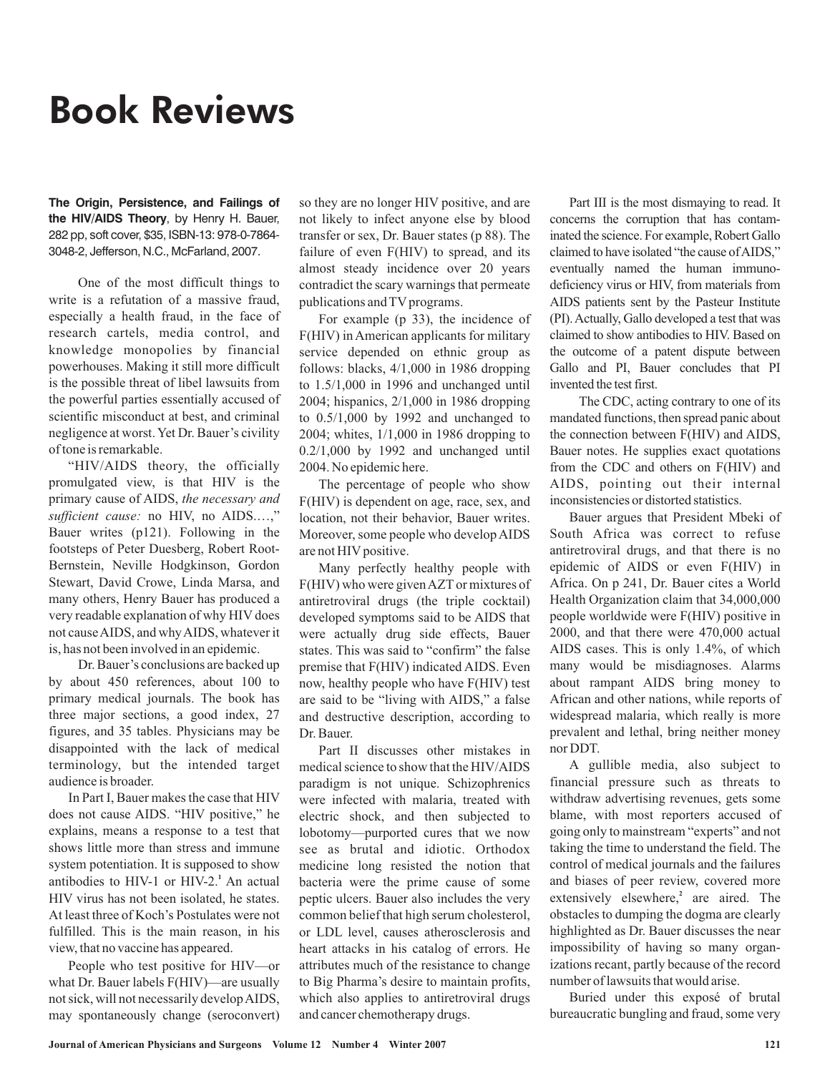## Book Reviews

**The Origin, Persistence, and Failings of the HIV/AIDS Theory**, by Henry H. Bauer, 282 pp, soft cover, \$35, ISBN-13: 978-0-7864- 3048-2, Jefferson, N.C., McFarland, 2007.

One of the most difficult things to write is a refutation of a massive fraud, especially a health fraud, in the face of research cartels, media control, and knowledge monopolies by financial powerhouses. Making it still more difficult is the possible threat of libel lawsuits from the powerful parties essentially accused of scientific misconduct at best, and criminal negligence at worst. Yet Dr. Bauer's civility of tone is remarkable.

"HIV/AIDS theory, the officially promulgated view, is that HIV is the primary cause of AIDS, *the necessary and* sufficient cause: no HIV, no AIDS....," Bauer writes (p121). Following in the footsteps of Peter Duesberg, Robert Root-Bernstein, Neville Hodgkinson, Gordon Stewart, David Crowe, Linda Marsa, and many others, Henry Bauer has produced a very readable explanation of why HIV does not causeAIDS, and whyAIDS, whatever it is, has not been involved in an epidemic.

Dr. Bauer's conclusions are backed up by about 450 references, about 100 to primary medical journals. The book has three major sections, a good index, 27 figures, and 35 tables. Physicians may be disappointed with the lack of medical terminology, but the intended target audience is broader.

In Part I, Bauer makes the case that HIV does not cause AIDS. "HIV positive," he explains, means a response to a test that shows little more than stress and immune system potentiation. It is supposed to show antibodies to HIV-1 or HIV-2.<sup>1</sup> An actual HIV virus has not been isolated, he states. At least three of Koch's Postulates were not fulfilled. This is the main reason, in his view, that no vaccine has appeared.

People who test positive for HIV—or what Dr. Bauer labels F(HIV)—are usually not sick, will not necessarily developAIDS, may spontaneously change (seroconvert) so they are no longer HIV positive, and are not likely to infect anyone else by blood transfer or sex, Dr. Bauer states (p 88). The failure of even F(HIV) to spread, and its almost steady incidence over 20 years contradict the scary warnings that permeate publications and TV programs.

For example (p 33), the incidence of F(HIV) in American applicants for military service depended on ethnic group as follows: blacks, 4/1,000 in 1986 dropping to 1.5/1,000 in 1996 and unchanged until 2004; hispanics, 2/1,000 in 1986 dropping to 0.5/1,000 by 1992 and unchanged to 2004; whites, 1/1,000 in 1986 dropping to 0.2/1,000 by 1992 and unchanged until 2004. No epidemic here.

The percentage of people who show F(HIV) is dependent on age, race, sex, and location, not their behavior, Bauer writes. Moreover, some people who develop AIDS are not HIV positive.

Many perfectly healthy people with F(HIV) who were givenAZT or mixtures of antiretroviral drugs (the triple cocktail) developed symptoms said to be AIDS that were actually drug side effects, Bauer states. This was said to "confirm" the false premise that F(HIV) indicated AIDS. Even now, healthy people who have F(HIV) test are said to be "living with AIDS," a false and destructive description, according to Dr. Bauer.

Part II discusses other mistakes in medical science to show that the HIV/AIDS paradigm is not unique. Schizophrenics were infected with malaria, treated with electric shock, and then subjected to lobotomy—purported cures that we now see as brutal and idiotic. Orthodox medicine long resisted the notion that bacteria were the prime cause of some peptic ulcers. Bauer also includes the very common belief that high serum cholesterol, or LDL level, causes atherosclerosis and heart attacks in his catalog of errors. He attributes much of the resistance to change to Big Pharma's desire to maintain profits, which also applies to antiretroviral drugs and cancer chemotherapy drugs.

Part III is the most dismaying to read. It concerns the corruption that has contaminated the science. For example, Robert Gallo claimed to have isolated "the cause ofAIDS," eventually named the human immunodeficiency virus or HIV, from materials from AIDS patients sent by the Pasteur Institute (PI).Actually, Gallo developed a test that was claimed to show antibodies to HIV. Based on the outcome of a patent dispute between Gallo and PI, Bauer concludes that PI invented the test first.

The CDC, acting contrary to one of its mandated functions, then spread panic about the connection between F(HIV) and AIDS, Bauer notes. He supplies exact quotations from the CDC and others on F(HIV) and AIDS, pointing out their internal inconsistencies or distorted statistics.

Bauer argues that President Mbeki of South Africa was correct to refuse antiretroviral drugs, and that there is no epidemic of AIDS or even F(HIV) in Africa. On p 241, Dr. Bauer cites a World Health Organization claim that 34,000,000 people worldwide were F(HIV) positive in 2000, and that there were 470,000 actual AIDS cases. This is only 1.4%, of which many would be misdiagnoses. Alarms about rampant AIDS bring money to African and other nations, while reports of widespread malaria, which really is more prevalent and lethal, bring neither money nor DDT.

A gullible media, also subject to financial pressure such as threats to withdraw advertising revenues, gets some blame, with most reporters accused of going only to mainstream "experts" and not taking the time to understand the field. The control of medical journals and the failures and biases of peer review, covered more extensively elsewhere,<sup>2</sup> are aired. The obstacles to dumping the dogma are clearly highlighted as Dr. Bauer discusses the near impossibility of having so many organizations recant, partly because of the record number of lawsuits that would arise.

Buried under this exposé of brutal bureaucratic bungling and fraud, some very